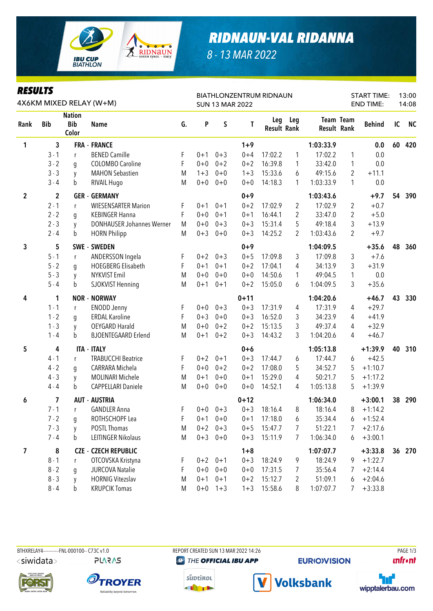

## *RIDNAUN-VAL RIDANNA*

*8 - 13 MAR 2022*

| <b>RESULTS</b>   |             |                                      | 4X6KM MIXED RELAY (W+M)          |    |         |             | <b>SUN 13 MAR 2022</b> | <b>BIATHLONZENTRUM RIDNAUN</b> |                |                                        | <b>START TIME:</b><br><b>END TIME:</b> |               |    | 13:00<br>14:08 |  |
|------------------|-------------|--------------------------------------|----------------------------------|----|---------|-------------|------------------------|--------------------------------|----------------|----------------------------------------|----------------------------------------|---------------|----|----------------|--|
| Rank             | <b>Bib</b>  | <b>Nation</b><br><b>Bib</b><br>Color | <b>Name</b>                      | G. | P       | S           | T                      | Leg<br><b>Result Rank</b>      | Leg            | <b>Team Team</b><br><b>Result Rank</b> |                                        | <b>Behind</b> | IC | <b>NC</b>      |  |
| 1                | 3           |                                      | <b>FRA - FRANCE</b>              |    |         |             | $1 + 9$                |                                |                | 1:03:33.9                              |                                        | 0.0           | 60 | 420            |  |
|                  | $3 - 1$     | r                                    | <b>BENED Camille</b>             | F  | $0 + 1$ | $0 + 3$     | $0 + 4$                | 17:02.2                        | 1              | 17:02.2                                | 1                                      | 0.0           |    |                |  |
|                  | $3 - 2$     | g                                    | <b>COLOMBO Caroline</b>          | F  | $0 + 0$ | $0 + 2$     | $0 + 2$                | 16:39.8                        | 1              | 33:42.0                                | 1                                      | 0.0           |    |                |  |
|                  | $3 - 3$     | y                                    | <b>MAHON Sebastien</b>           | M  | $1 + 3$ | $0 + 0$     | $1 + 3$                | 15:33.6                        | 6              | 49:15.6                                | 2                                      | $+11.1$       |    |                |  |
|                  | $3 - 4$     | b                                    | RIVAIL Hugo                      | M  | $0+0$   | $0 + 0$     | $0 + 0$                | 14:18.3                        | 1              | 1:03:33.9                              | 1                                      | 0.0           |    |                |  |
| $\boldsymbol{2}$ | $\mathbf 2$ |                                      | <b>GER - GERMANY</b>             |    |         |             | $0 + 9$                |                                |                | 1:03:43.6                              |                                        | $+9.7$        | 54 | 390            |  |
|                  | $2 - 1$     | r                                    | <b>WIESENSARTER Marion</b>       | F  | $0 + 1$ | $0 + 1$     | $0 + 2$                | 17:02.9                        | $\overline{2}$ | 17:02.9                                | 2                                      | $+0.7$        |    |                |  |
|                  | $2 - 2$     | g                                    | <b>KEBINGER Hanna</b>            | F  | $0 + 0$ | $0 + 1$     | $0 + 1$                | 16:44.1                        | 2              | 33:47.0                                | 2                                      | $+5.0$        |    |                |  |
|                  | $2 - 3$     | y                                    | <b>DONHAUSER Johannes Werner</b> | M  | $0 + 0$ | $0 + 3$     | $0 + 3$                | 15:31.4                        | 5              | 49:18.4                                | 3                                      | $+13.9$       |    |                |  |
|                  | $2 - 4$     | b                                    | <b>HORN Philipp</b>              | M  | $0 + 3$ | $0 + 0$     | $0 + 3$                | 14:25.2                        | 2              | 1:03:43.6                              | 2                                      | $+9.7$        |    |                |  |
| 3                | 5           |                                      | SWE - SWEDEN                     |    |         |             | $0 + 9$                |                                |                | 1:04:09.5                              |                                        | $+35.6$       | 48 | 360            |  |
|                  | $5 - 1$     | r                                    | ANDERSSON Ingela                 | F  | $0 + 2$ | $0 + 3$     | $0 + 5$                | 17:09.8                        | 3              | 17:09.8                                | 3                                      | $+7.6$        |    |                |  |
|                  | $5 - 2$     | g                                    | <b>HOEGBERG Elisabeth</b>        | F  | $0 + 1$ | $0 + 1$     | $0 + 2$                | 17:04.1                        | 4              | 34:13.9                                | 3                                      | $+31.9$       |    |                |  |
|                  | $5 - 3$     | y                                    | <b>NYKVIST Emil</b>              | M  | $0 + 0$ | $0 + 0$     | $0 + 0$                | 14:50.6                        | 1              | 49:04.5                                | 1                                      | 0.0           |    |                |  |
|                  | $5 - 4$     | b                                    | SJOKVIST Henning                 | M  | $0 + 1$ | $0 + 1$     | $0 + 2$                | 15:05.0                        | 6              | 1:04:09.5                              | 3                                      | $+35.6$       |    |                |  |
| 4                | 1           |                                      | <b>NOR - NORWAY</b>              |    |         |             | $0 + 11$               |                                |                | 1:04:20.6                              |                                        | $+46.7$       | 43 | 330            |  |
|                  | $1 - 1$     | r                                    | <b>ENODD Jenny</b>               | F. | $0 + 0$ | $0 + 3$     | $0 + 3$                | 17:31.9                        | 4              | 17:31.9                                | 4                                      | $+29.7$       |    |                |  |
|                  | $1 - 2$     | g                                    | <b>ERDAL Karoline</b>            | F  | $0 + 3$ | $0 + 0$     | $0 + 3$                | 16:52.0                        | 3              | 34:23.9                                | 4                                      | $+41.9$       |    |                |  |
|                  | $1 - 3$     | y                                    | <b>OEYGARD Harald</b>            | M  | $0 + 0$ | $0 + 2$     | $0 + 2$                | 15:13.5                        | 3              | 49:37.4                                | 4                                      | $+32.9$       |    |                |  |
|                  | $1 - 4$     | b                                    | <b>BJOENTEGAARD Erlend</b>       | M  | $0 + 1$ | $0 + 2$     | $0 + 3$                | 14:43.2                        | 3              | 1:04:20.6                              | 4                                      | $+46.7$       |    |                |  |
| 5                | 4           |                                      | <b>ITA - ITALY</b>               |    |         |             | $0+6$                  |                                |                | 1:05:13.8                              |                                        | $+1:39.9$     | 40 | 310            |  |
|                  | $4 - 1$     | $r_{\rm}$                            | <b>TRABUCCHI Beatrice</b>        | F  | $0 + 2$ | $0 + 1$     | $0 + 3$                | 17:44.7                        | 6              | 17:44.7                                | 6                                      | $+42.5$       |    |                |  |
|                  | $4 - 2$     | g                                    | CARRARA Michela                  | F  | $0 + 0$ | $0 + 2$     | $0 + 2$                | 17:08.0                        | 5              | 34:52.7                                | 5                                      | $+1:10.7$     |    |                |  |
|                  | $4 - 3$     | y                                    | <b>MOLINARI Michele</b>          | M  | $0 + 1$ | $0 + 0$     | $0 + 1$                | 15:29.0                        | 4              | 50:21.7                                | 5                                      | $+1:17.2$     |    |                |  |
|                  | $4 - 4$     | b                                    | <b>CAPPELLARI Daniele</b>        | M  | $0+0$   | $0 + 0$     | $0 + 0$                | 14:52.1                        | 4              | 1:05:13.8                              | 5                                      | $+1:39.9$     |    |                |  |
| 6                | 7           |                                      | <b>AUT - AUSTRIA</b>             |    |         |             | $0 + 12$               |                                |                | 1:06:34.0                              |                                        | $+3:00.1$     | 38 | 290            |  |
|                  | $7 - 1$     | r                                    | <b>GANDLER Anna</b>              | F. |         | $0+0$ $0+3$ |                        | $0+3$ 18:16.4                  | 8              | 18:16.4                                |                                        | $8 + 1:14.2$  |    |                |  |
|                  | $7 - 2$     | q                                    | ROTHSCHOPF Lea                   | F  |         | $0+1$ 0+0   | $0 + 1$                | 17:18.0                        | 6              | 35:34.4                                | 6                                      | $+1:52.4$     |    |                |  |
|                  | $7 - 3$     | y                                    | POSTL Thomas                     | M  |         | $0+2$ 0+3   | $0 + 5$                | 15:47.7                        | 7              | 51:22.1                                | 7                                      | $+2:17.6$     |    |                |  |
|                  | $7 - 4$     | b                                    | LEITINGER Nikolaus               | M  |         | $0+3$ 0+0   | $0 + 3$                | 15:11.9                        | 7              | 1:06:34.0                              | 6                                      | $+3:00.1$     |    |                |  |
| 7                | 8           |                                      | <b>CZE - CZECH REPUBLIC</b>      |    |         |             | $1 + 8$                |                                |                | 1:07:07.7                              |                                        | $+3:33.8$     |    | 36 270         |  |
|                  | $8 - 1$     | r                                    | OTCOVSKA Kristyna                | Ł  |         | $0+2$ 0+1   | $0 + 3$                | 18:24.9                        | 9              | 18:24.9                                | 9                                      | $+1:22.7$     |    |                |  |
|                  | $8 - 2$     | q                                    | <b>JURCOVA Natalie</b>           | F  |         | $0+0$ 0+0   | $0 + 0$                | 17:31.5                        | 7              | 35:56.4                                | $\prime$                               | $+2:14.4$     |    |                |  |
|                  | $8 - 3$     | y                                    | <b>HORNIG Vitezslav</b>          | M  | $0 + 1$ | $0 + 1$     | $0 + 2$                | 15:12.7                        | 2              | 51:09.1                                | 6                                      | $+2:04.6$     |    |                |  |
|                  | $8 - 4$     | b                                    | <b>KRUPCIK Tomas</b>             | M  | $0+0$   | $1 + 3$     | $1 + 3$                | 15:58.6                        | 8              | 1:07:07.7                              | 7                                      | $+3:33.8$     |    |                |  |

BTHXRELAY4-----------FNL-000100-- C73C v1.0 REPORT CREATED SUN 13 MAR 2022 14:26 PAGE 1/3 <siwidata>

**PLARAS** 

**OTROYER** 

Reliability beyond tomorrow.

süptirol **THEFT** 

THE OFFICIAL IBU APP

**EURIO)VISION** 









**unfront**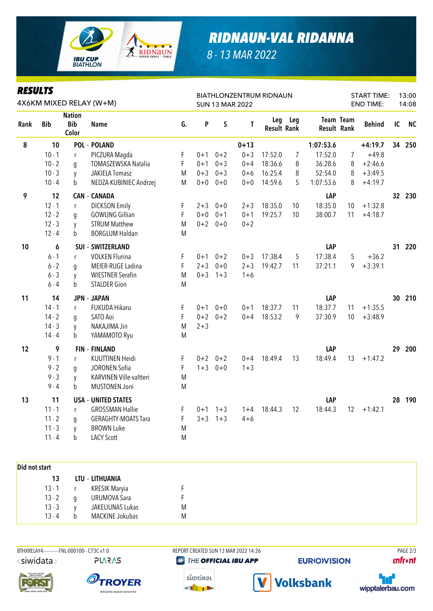

## *RIDNAUN-VAL RIDANNA*

*8 - 13 MAR 2022*

| <b>RESULTS</b><br>4X6KM MIXED RELAY (W+M) |            |                                      |                            |    | BIATHLONZENTRUM RIDNAUN<br><b>SUN 13 MAR 2022</b> |           |          |                    |         |                    | <b>START TIME:</b><br><b>END TIME:</b> |               | 13:00<br>14:08 |           |
|-------------------------------------------|------------|--------------------------------------|----------------------------|----|---------------------------------------------------|-----------|----------|--------------------|---------|--------------------|----------------------------------------|---------------|----------------|-----------|
| Rank                                      | <b>Bib</b> | <b>Nation</b><br><b>Bib</b><br>Color | <b>Name</b>                | G. | P                                                 | S         | T        | <b>Result Rank</b> | Leg Leg | <b>Result Rank</b> | Team Team                              | <b>Behind</b> | IC             | <b>NC</b> |
| $\pmb{8}$                                 | 10         |                                      | <b>POL - POLAND</b>        |    |                                                   |           | $0 + 13$ |                    |         | 1:07:53.6          |                                        | $+4:19.7$     |                | 34 250    |
|                                           | $10 - 1$   | r                                    | PICZURA Magda              | F  | $0 + 1$                                           | $0 + 2$   | $0 + 3$  | 17:52.0            | 7       | 17:52.0            | 7                                      | $+49.8$       |                |           |
|                                           | $10 - 2$   | q                                    | <b>TOMASZEWSKA Natalia</b> | F  | $0 + 1$                                           | $0 + 3$   | $0 + 4$  | 18:36.6            | 8       | 36:28.6            | 8                                      | $+2:46.6$     |                |           |
|                                           | $10 - 3$   | y                                    | <b>JAKIELA Tomasz</b>      | M  | $0 + 3$                                           | $0 + 3$   | $0 + 6$  | 16:25.4            | 8       | 52:54.0            | 8                                      | $+3:49.5$     |                |           |
|                                           | $10 - 4$   | b                                    | NEDZA-KUBINIEC Andrzej     | M  | $0 + 0$                                           | $0 + 0$   | $0 + 0$  | 14:59.6            | 5       | 1:07:53.6          | 8                                      | $+4:19.7$     |                |           |
| 9                                         | 12         |                                      | <b>CAN - CANADA</b>        |    |                                                   |           |          |                    |         | LAP                |                                        |               |                | 32 230    |
|                                           | $12 - 1$   | r                                    | <b>DICKSON Emily</b>       | F  | $2 + 3$                                           | $0 + 0$   | $2 + 3$  | 18:35.0            | 10      | 18:35.0            | 10                                     | $+1:32.8$     |                |           |
|                                           | $12 - 2$   | g                                    | <b>GOWLING Gillian</b>     | F  | $0 + 0$                                           | $0 + 1$   | $0 + 1$  | 19:25.7            | 10      | 38:00.7            | 11                                     | $+4:18.7$     |                |           |
|                                           | $12 - 3$   | y                                    | <b>STRUM Matthew</b>       | M  | $0 + 2$                                           | $0 + 0$   | $0 + 2$  |                    |         |                    |                                        |               |                |           |
|                                           | $12 - 4$   | b                                    | <b>BORGLUM Haldan</b>      | M  |                                                   |           |          |                    |         |                    |                                        |               |                |           |
| 10                                        | 6          |                                      | <b>SUI - SWITZERLAND</b>   |    |                                                   |           |          |                    |         | LAP                |                                        |               | 31             | 220       |
|                                           | $6 - 1$    | r                                    | <b>VOLKEN Flurina</b>      | F  | $0 + 1$                                           | $0 + 2$   | $0 + 3$  | 17:38.4            | 5       | 17:38.4            | 5                                      | $+36.2$       |                |           |
|                                           | $6 - 2$    | g                                    | MEIER-RUGE Ladina          | F  | $2 + 3$                                           | $0 + 0$   | $2 + 3$  | 19:42.7            | 11      | 37:21.1            | 9                                      | $+3:39.1$     |                |           |
|                                           | $6 - 3$    | y                                    | <b>WIESTNER Serafin</b>    | M  | $0 + 3$                                           | $1 + 3$   | $1 + 6$  |                    |         |                    |                                        |               |                |           |
|                                           | $6 - 4$    | b                                    | <b>STALDER Gion</b>        | M  |                                                   |           |          |                    |         |                    |                                        |               |                |           |
| 11                                        | 14         |                                      | <b>JPN - JAPAN</b>         |    |                                                   |           |          |                    |         | LAP                |                                        |               | 30             | 210       |
|                                           | $14 - 1$   | r                                    | FUKUDA Hikaru              | F  | $0 + 1$                                           | $0 + 0$   | $0 + 1$  | 18:37.7            | 11      | 18:37.7            | 11                                     | $+1:35.5$     |                |           |
|                                           | $14 - 2$   | g                                    | SATO Aoi                   | F  | $0 + 2$                                           | $0 + 2$   | $0 + 4$  | 18:53.2            | 9       | 37:30.9            | 10                                     | $+3:48.9$     |                |           |
|                                           | $14 - 3$   | y                                    | NAKAJIMA Jin               | M  | $2 + 3$                                           |           |          |                    |         |                    |                                        |               |                |           |
|                                           | $14 - 4$   | b                                    | YAMAMOTO Ryu               | M  |                                                   |           |          |                    |         |                    |                                        |               |                |           |
| 12                                        | 9          |                                      | <b>FIN - FINLAND</b>       |    |                                                   |           |          |                    |         | LAP                |                                        |               | 29             | 200       |
|                                           | $9 - 1$    | r                                    | <b>KUUTTINEN Heidi</b>     | F  |                                                   | $0+2$ 0+2 | $0 + 4$  | 18:49.4            | 13      | 18:49.4            | 13                                     | $+1:47.2$     |                |           |
|                                           | $9 - 2$    | g                                    | JORONEN Sofia              | F  | $1 + 3$                                           | $0 + 0$   | $1 + 3$  |                    |         |                    |                                        |               |                |           |
|                                           | $9 - 3$    | y                                    | KARVINEN Ville-valtteri    | M  |                                                   |           |          |                    |         |                    |                                        |               |                |           |
|                                           | $9 - 4$    | b                                    | <b>MUSTONEN Joni</b>       | M  |                                                   |           |          |                    |         |                    |                                        |               |                |           |
| 13                                        | 11         |                                      | <b>USA - UNITED STATES</b> |    |                                                   |           |          |                    |         | LAP                |                                        |               | 28             | 190       |
|                                           | $11 - 1$   | r                                    | <b>GROSSMAN Hallie</b>     | F  | $0 + 1$                                           | $1 + 3$   | $1 + 4$  | 18:44.3            | 12      | 18:44.3            | 12                                     | $+1:42.1$     |                |           |
|                                           | $11 - 2$   | g                                    | <b>GERAGHTY-MOATS Tara</b> | F  | $3 + 3$                                           | $1 + 3$   | $4 + 6$  |                    |         |                    |                                        |               |                |           |
|                                           | $11 - 3$   | y                                    | <b>BROWN Luke</b>          | M  |                                                   |           |          |                    |         |                    |                                        |               |                |           |
|                                           | $11 - 4$   | b                                    | <b>LACY Scott</b>          | M  |                                                   |           |          |                    |         |                    |                                        |               |                |           |
|                                           |            |                                      |                            |    |                                                   |           |          |                    |         |                    |                                        |               |                |           |

| Did not start |   |                     |   |
|---------------|---|---------------------|---|
| 13            |   | LTU - LITHUANIA     |   |
| $13 - 1$      |   | KRESIK Maryia       |   |
| $13 - 2$      |   | <b>URUMOVA Sara</b> |   |
| $13 - 3$      |   | JAKELIUNAS Lukas    | M |
| $13 - 4$      | b | MACKINE Jokubas     | M |

BTHXRELAY4-----------FNL-000100-- C73C v1.0 REPORT CREATED SUN 13 MAR 2022 14:26 PAGE 2/3 <siwidata> **PLARAS** 

THE OFFICIAL IBU APP

**EURIO)VISION** 

**unfront**